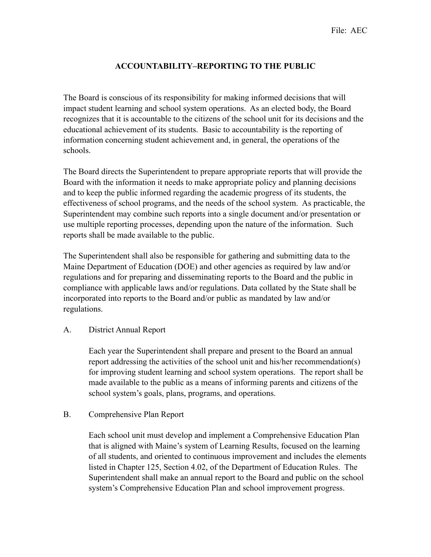# **ACCOUNTABILITY–REPORTING TO THE PUBLIC**

The Board is conscious of its responsibility for making informed decisions that will impact student learning and school system operations. As an elected body, the Board recognizes that it is accountable to the citizens of the school unit for its decisions and the educational achievement of its students. Basic to accountability is the reporting of information concerning student achievement and, in general, the operations of the schools.

The Board directs the Superintendent to prepare appropriate reports that will provide the Board with the information it needs to make appropriate policy and planning decisions and to keep the public informed regarding the academic progress of its students, the effectiveness of school programs, and the needs of the school system. As practicable, the Superintendent may combine such reports into a single document and/or presentation or use multiple reporting processes, depending upon the nature of the information. Such reports shall be made available to the public.

The Superintendent shall also be responsible for gathering and submitting data to the Maine Department of Education (DOE) and other agencies as required by law and/or regulations and for preparing and disseminating reports to the Board and the public in compliance with applicable laws and/or regulations. Data collated by the State shall be incorporated into reports to the Board and/or public as mandated by law and/or regulations.

#### A. District Annual Report

Each year the Superintendent shall prepare and present to the Board an annual report addressing the activities of the school unit and his/her recommendation(s) for improving student learning and school system operations. The report shall be made available to the public as a means of informing parents and citizens of the school system's goals, plans, programs, and operations.

#### B. Comprehensive Plan Report

Each school unit must develop and implement a Comprehensive Education Plan that is aligned with Maine's system of Learning Results, focused on the learning of all students, and oriented to continuous improvement and includes the elements listed in Chapter 125, Section 4.02, of the Department of Education Rules. The Superintendent shall make an annual report to the Board and public on the school system's Comprehensive Education Plan and school improvement progress.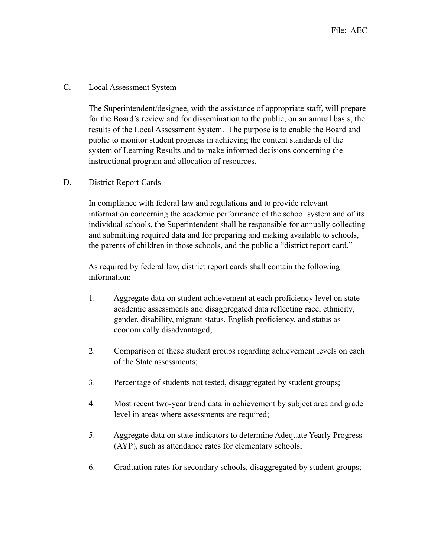### C. Local Assessment System

The Superintendent/designee, with the assistance of appropriate staff, will prepare for the Board's review and for dissemination to the public, on an annual basis, the results of the Local Assessment System. The purpose is to enable the Board and public to monitor student progress in achieving the content standards of the system of Learning Results and to make informed decisions concerning the instructional program and allocation of resources.

## D. District Report Cards

In compliance with federal law and regulations and to provide relevant information concerning the academic performance of the school system and of its individual schools, the Superintendent shall be responsible for annually collecting and submitting required data and for preparing and making available to schools, the parents of children in those schools, and the public a "district report card."

 As required by federal law, district report cards shall contain the following information:

- 1. Aggregate data on student achievement at each proficiency level on state academic assessments and disaggregated data reflecting race, ethnicity, gender, disability, migrant status, English proficiency, and status as economically disadvantaged;
- 2. Comparison of these student groups regarding achievement levels on each of the State assessments;
- 3. Percentage of students not tested, disaggregated by student groups;
- 4. Most recent two-year trend data in achievement by subject area and grade level in areas where assessments are required;
- 5. Aggregate data on state indicators to determine Adequate Yearly Progress (AYP), such as attendance rates for elementary schools;
- 6. Graduation rates for secondary schools, disaggregated by student groups;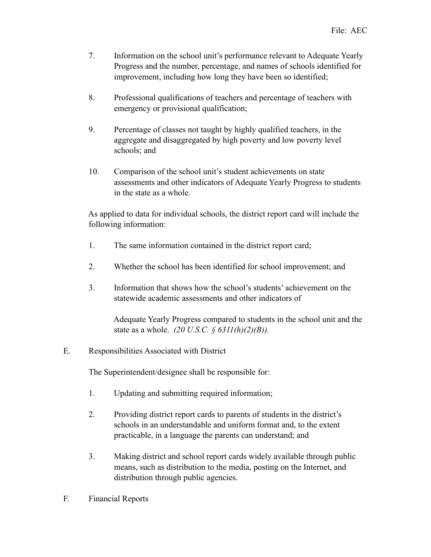- 7. Information on the school unit's performance relevant to Adequate Yearly Progress and the number, percentage, and names of schools identified for improvement, including how long they have been so identified;
- 8. Professional qualifications of teachers and percentage of teachers with emergency or provisional qualification;
- 9. Percentage of classes not taught by highly qualified teachers, in the aggregate and disaggregated by high poverty and low poverty level schools; and
- 10. Comparison of the school unit's student achievements on state assessments and other indicators of Adequate Yearly Progress to students in the state as a whole.

 As applied to data for individual schools, the district report card will include the following information:

- 1. The same information contained in the district report card;
- 2. Whether the school has been identified for school improvement; and
- 3. Information that shows how the school's students' achievement on the statewide academic assessments and other indicators of

 Adequate Yearly Progress compared to students in the school unit and the state as a whole. *(20 U.S.C. § 6311(h)(2)(B)).*

E. Responsibilities Associated with District

The Superintendent/designee shall be responsible for:

- 1. Updating and submitting required information;
- 2. Providing district report cards to parents of students in the district's schools in an understandable and uniform format and, to the extent practicable, in a language the parents can understand; and
- 3. Making district and school report cards widely available through public means, such as distribution to the media, posting on the Internet, and distribution through public agencies.
- F. Financial Reports